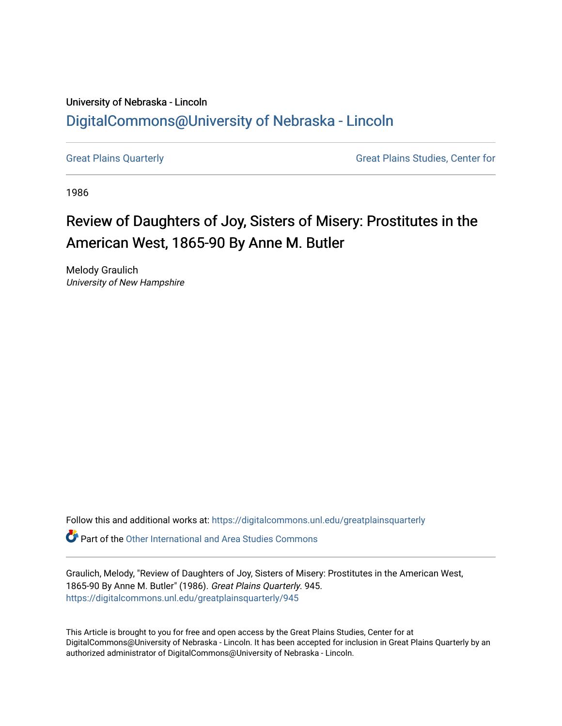## University of Nebraska - Lincoln [DigitalCommons@University of Nebraska - Lincoln](https://digitalcommons.unl.edu/)

[Great Plains Quarterly](https://digitalcommons.unl.edu/greatplainsquarterly) **Great Plains Studies, Center for** Great Plains Studies, Center for

1986

## Review of Daughters of Joy, Sisters of Misery: Prostitutes in the American West, 1865-90 By Anne M. Butler

Melody Graulich University of New Hampshire

Follow this and additional works at: [https://digitalcommons.unl.edu/greatplainsquarterly](https://digitalcommons.unl.edu/greatplainsquarterly?utm_source=digitalcommons.unl.edu%2Fgreatplainsquarterly%2F945&utm_medium=PDF&utm_campaign=PDFCoverPages)

**P** Part of the [Other International and Area Studies Commons](http://network.bepress.com/hgg/discipline/365?utm_source=digitalcommons.unl.edu%2Fgreatplainsquarterly%2F945&utm_medium=PDF&utm_campaign=PDFCoverPages)

Graulich, Melody, "Review of Daughters of Joy, Sisters of Misery: Prostitutes in the American West, 1865-90 By Anne M. Butler" (1986). Great Plains Quarterly. 945. [https://digitalcommons.unl.edu/greatplainsquarterly/945](https://digitalcommons.unl.edu/greatplainsquarterly/945?utm_source=digitalcommons.unl.edu%2Fgreatplainsquarterly%2F945&utm_medium=PDF&utm_campaign=PDFCoverPages) 

This Article is brought to you for free and open access by the Great Plains Studies, Center for at DigitalCommons@University of Nebraska - Lincoln. It has been accepted for inclusion in Great Plains Quarterly by an authorized administrator of DigitalCommons@University of Nebraska - Lincoln.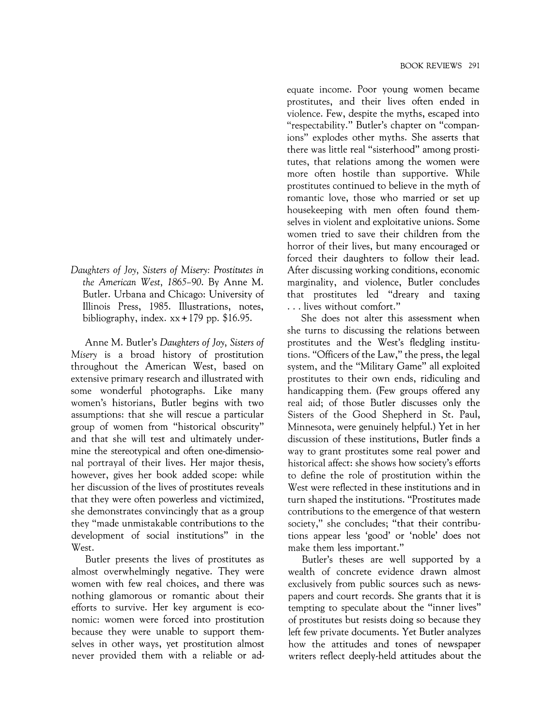*Daughters of Joy, Sisters of Misery: Prostitutes* in *the American West, 1865-90.* By Anne M. Butler. Urbana and Chicago: University of Illinois Press, 1985. Illustrations, notes, bibliography, index.  $xx + 179$  pp. \$16.95.

Anne M. Butler's *Daughters of Joy, Sisters of Misery* is a broad history of prostitution throughout the American West, based on extensive primary research and illustrated with some wonderful photographs. Like many women's historians, Butler begins with two assumptions: that she will rescue a particular group of women from "historical obscurity" and that she will test and ultimately undermine the stereotypical and often one-dimensional portrayal of their lives. Her major thesis, however, gives her book added scope: while her discussion of the lives of prostitutes reveals that they were often powerless and victimized, she demonstrates convincingly that as a group they "made unmistakable contributions to the development of social institutions" in the West.

Butler presents the lives of prostitutes as almost overwhelmingly negative. They were women with few real choices, and there was nothing glamorous or romantic about their efforts to survive. Her key argument is economic: women were forced into prostitution because they were unable to support themselves in other ways, yet prostitution almost never provided them with a reliable or ad-

equate income. Poor young women became prostitutes, and their lives often ended in violence. Few, despite the myths, escaped into "respectability." Butler's chapter on "companions" explodes other myths. She asserts that there was little real "sisterhood" among prostitutes, that relations among the women were more often hostile than supportive. While prostitutes continued to believe in the myth of romantic love, those who married or set up housekeeping with men often found themselves in violent and exploitative unions. Some women tried to save their children from the horror of their lives, but many encouraged or forced their daughters to follow their lead. After discussing working conditions, economic marginality, and violence, Butler concludes that prostitutes led "dreary and taxing ... lives without comfort."

She does not alter this assessment when she turns to discussing the relations between prostitutes and the West's fledgling institutions. "Officers of the Law," the press, the legal system, and the "Military Game" all exploited prostitutes to their own ends, ridiculing and handicapping them. (Few groups offered any real aid; of those Butler discusses only the Sisters of the Good Shepherd in St. Paul, Minnesota, were genuinely helpful.) Yet in her discussion of these institutions, Butler finds a way to grant prostitutes some real power and historical affect: she shows how society's efforts to define the role of prostitution within the West were reflected in these institutions and in turn shaped the institutions. "Prostitutes made contributions to the emergence of that western society," she concludes; "that their contributions appear less 'good' or 'noble' does not make them less important."

Butler's theses are well supported by a wealth of concrete evidence drawn almost exclusively from public sources such as newspapers and court records. She grants that it is tempting to speculate about the "inner lives" of prostitutes but resists doing so because they left few private documents. Yet Butler analyzes how the attitudes and tones of newspaper writers reflect deeply-held attitudes about the